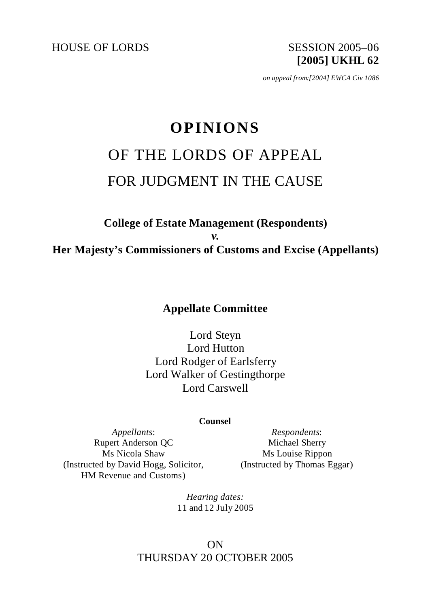HOUSE OF LORDS SESSION 2005-06

**[2005] UKHL 62**

*on appeal from:[2004] EWCA Civ 1086*

# **OPINIONS** OF THE LORDS OF APPEAL FOR JUDGMENT IN THE CAUSE

# **College of Estate Management (Respondents)**  *v.* **Her Majesty's Commissioners of Customs and Excise (Appellants)**

**Appellate Committee**

Lord Steyn Lord Hutton Lord Rodger of Earlsferry Lord Walker of Gestingthorpe Lord Carswell

#### **Counsel**

*Appellants*: Rupert Anderson QC Ms Nicola Shaw (Instructed by David Hogg, Solicitor, HM Revenue and Customs)

*Respondents*: Michael Sherry Ms Louise Rippon (Instructed by Thomas Eggar)

*Hearing dates:* 11 and 12 July 2005

# ON THURSDAY 20 OCTOBER 2005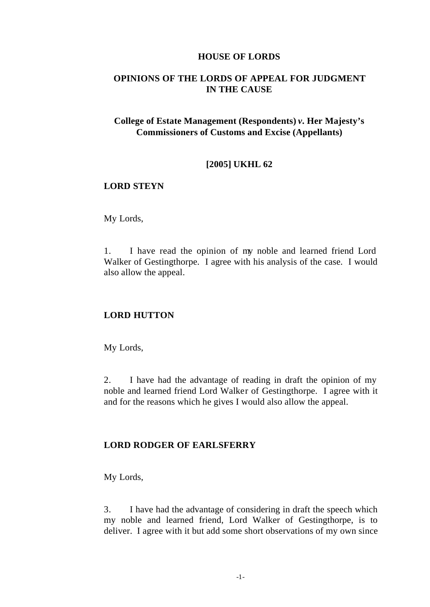#### **HOUSE OF LORDS**

# **OPINIONS OF THE LORDS OF APPEAL FOR JUDGMENT IN THE CAUSE**

# **College of Estate Management (Respondents)** *v.* **Her Majesty's Commissioners of Customs and Excise (Appellants)**

#### **[2005] UKHL 62**

## **LORD STEYN**

My Lords,

1. I have read the opinion of my noble and learned friend Lord Walker of Gestingthorpe. I agree with his analysis of the case. I would also allow the appeal.

## **LORD HUTTON**

My Lords,

2. I have had the advantage of reading in draft the opinion of my noble and learned friend Lord Walker of Gestingthorpe. I agree with it and for the reasons which he gives I would also allow the appeal.

#### **LORD RODGER OF EARLSFERRY**

My Lords,

3. I have had the advantage of considering in draft the speech which my noble and learned friend, Lord Walker of Gestingthorpe, is to deliver. I agree with it but add some short observations of my own since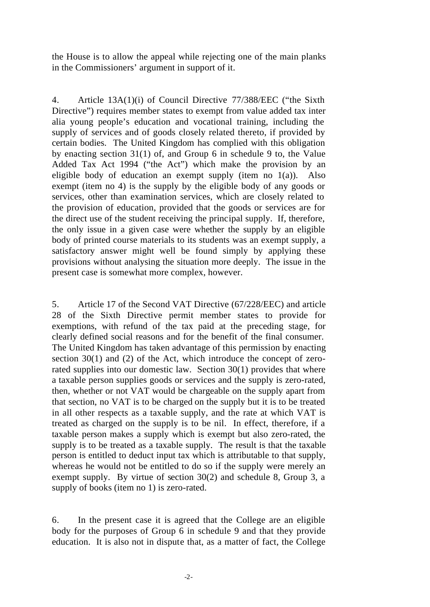the House is to allow the appeal while rejecting one of the main planks in the Commissioners' argument in support of it.

4. Article 13A(1)(i) of Council Directive 77/388/EEC ("the Sixth Directive") requires member states to exempt from value added tax inter alia young people's education and vocational training, including the supply of services and of goods closely related thereto, if provided by certain bodies. The United Kingdom has complied with this obligation by enacting section 31(1) of, and Group 6 in schedule 9 to, the Value Added Tax Act 1994 ("the Act") which make the provision by an eligible body of education an exempt supply (item no  $1(a)$ ). Also exempt (item no 4) is the supply by the eligible body of any goods or services, other than examination services, which are closely related to the provision of education, provided that the goods or services are for the direct use of the student receiving the principal supply. If, therefore, the only issue in a given case were whether the supply by an eligible body of printed course materials to its students was an exempt supply, a satisfactory answer might well be found simply by applying these provisions without analysing the situation more deeply. The issue in the present case is somewhat more complex, however.

5. Article 17 of the Second VAT Directive (67/228/EEC) and article 28 of the Sixth Directive permit member states to provide for exemptions, with refund of the tax paid at the preceding stage, for clearly defined social reasons and for the benefit of the final consumer. The United Kingdom has taken advantage of this permission by enacting section 30(1) and (2) of the Act, which introduce the concept of zerorated supplies into our domestic law. Section 30(1) provides that where a taxable person supplies goods or services and the supply is zero-rated, then, whether or not VAT would be chargeable on the supply apart from that section, no VAT is to be charged on the supply but it is to be treated in all other respects as a taxable supply, and the rate at which VAT is treated as charged on the supply is to be nil. In effect, therefore, if a taxable person makes a supply which is exempt but also zero-rated, the supply is to be treated as a taxable supply. The result is that the taxable person is entitled to deduct input tax which is attributable to that supply, whereas he would not be entitled to do so if the supply were merely an exempt supply. By virtue of section 30(2) and schedule 8, Group 3, a supply of books (item no 1) is zero-rated.

6. In the present case it is agreed that the College are an eligible body for the purposes of Group 6 in schedule 9 and that they provide education. It is also not in dispute that, as a matter of fact, the College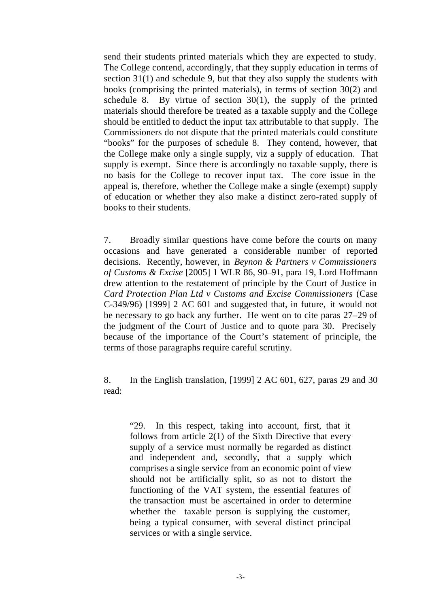send their students printed materials which they are expected to study. The College contend, accordingly, that they supply education in terms of section 31(1) and schedule 9, but that they also supply the students with books (comprising the printed materials), in terms of section 30(2) and schedule 8. By virtue of section  $30(1)$ , the supply of the printed materials should therefore be treated as a taxable supply and the College should be entitled to deduct the input tax attributable to that supply. The Commissioners do not dispute that the printed materials could constitute "books" for the purposes of schedule 8. They contend, however, that the College make only a single supply, viz a supply of education. That supply is exempt. Since there is accordingly no taxable supply, there is no basis for the College to recover input tax. The core issue in the appeal is, therefore, whether the College make a single (exempt) supply of education or whether they also make a distinct zero-rated supply of books to their students.

7. Broadly similar questions have come before the courts on many occasions and have generated a considerable number of reported decisions. Recently, however, in *Beynon & Partners v Commissioners of Customs & Excise* [2005] 1 WLR 86, 90–91, para 19, Lord Hoffmann drew attention to the restatement of principle by the Court of Justice in *Card Protection Plan Ltd v Customs and Excise Commissioners* (Case C-349/96) [1999] 2 AC 601 and suggested that, in future, it would not be necessary to go back any further. He went on to cite paras 27–29 of the judgment of the Court of Justice and to quote para 30. Precisely because of the importance of the Court's statement of principle, the terms of those paragraphs require careful scrutiny.

8. In the English translation, [1999] 2 AC 601, 627, paras 29 and 30 read:

"29. In this respect, taking into account, first, that it follows from article 2(1) of the Sixth Directive that every supply of a service must normally be regarded as distinct and independent and, secondly, that a supply which comprises a single service from an economic point of view should not be artificially split, so as not to distort the functioning of the VAT system, the essential features of the transaction must be ascertained in order to determine whether the taxable person is supplying the customer, being a typical consumer, with several distinct principal services or with a single service.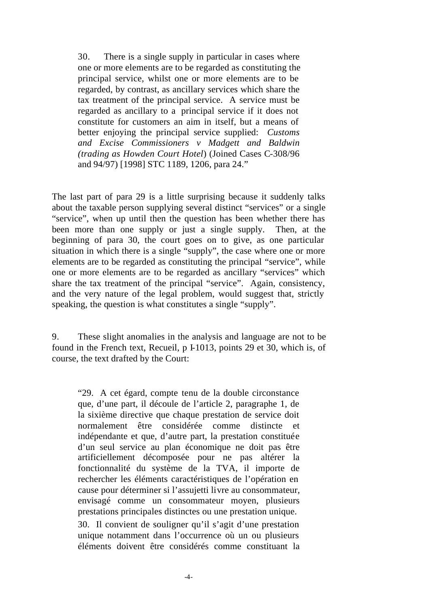30. There is a single supply in particular in cases where one or more elements are to be regarded as constituting the principal service, whilst one or more elements are to be regarded, by contrast, as ancillary services which share the tax treatment of the principal service. A service must be regarded as ancillary to a principal service if it does not constitute for customers an aim in itself, but a means of better enjoying the principal service supplied: *Customs and Excise Commissioners v Madgett and Baldwin (trading as Howden Court Hotel*) (Joined Cases C-308/96 and 94/97) [1998] STC 1189, 1206, para 24."

The last part of para 29 is a little surprising because it suddenly talks about the taxable person supplying several distinct "services" or a single "service", when up until then the question has been whether there has been more than one supply or just a single supply. Then, at the beginning of para 30, the court goes on to give, as one particular situation in which there is a single "supply", the case where one or more elements are to be regarded as constituting the principal "service", while one or more elements are to be regarded as ancillary "services" which share the tax treatment of the principal "service". Again, consistency, and the very nature of the legal problem, would suggest that, strictly speaking, the question is what constitutes a single "supply".

9. These slight anomalies in the analysis and language are not to be found in the French text, Recueil, p I-1013, points 29 et 30, which is, of course, the text drafted by the Court:

"29. A cet égard, compte tenu de la double circonstance que, d'une part, il découle de l'article 2, paragraphe 1, de la sixième directive que chaque prestation de service doit normalement être considérée comme distincte et indépendante et que, d'autre part, la prestation constituée d'un seul service au plan économique ne doit pas être artificiellement décomposée pour ne pas altérer la fonctionnalité du système de la TVA, il importe de rechercher les éléments caractéristiques de l'opération en cause pour déterminer si l'assujetti livre au consommateur, envisagé comme un consommateur moyen, plusieurs prestations principales distinctes ou une prestation unique. 30. Il convient de souligner qu'il s'agit d'une prestation unique notamment dans l'occurrence où un ou plusieurs éléments doivent être considérés comme constituant la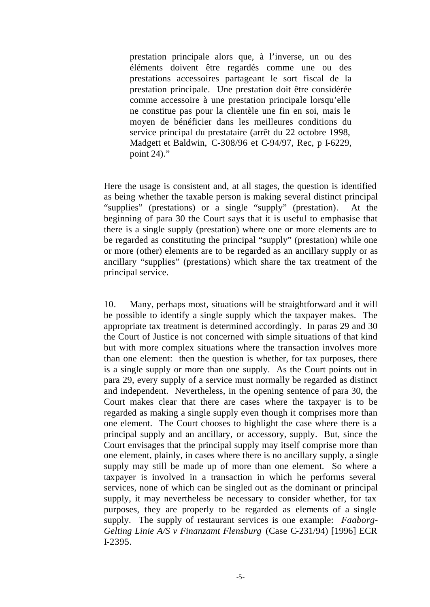prestation principale alors que, à l'inverse, un ou des éléments doivent être regardés comme une ou des prestations accessoires partageant le sort fiscal de la prestation principale. Une prestation doit être considérée comme accessoire à une prestation principale lorsqu'elle ne constitue pas pour la clientèle une fin en soi, mais le moyen de bénéficier dans les meilleures conditions du service principal du prestataire (arrêt du 22 octobre 1998, Madgett et Baldwin, C-308/96 et C-94/97, Rec, p I-6229, point 24)."

Here the usage is consistent and, at all stages, the question is identified as being whether the taxable person is making several distinct principal "supplies" (prestations) or a single "supply" (prestation). At the beginning of para 30 the Court says that it is useful to emphasise that there is a single supply (prestation) where one or more elements are to be regarded as constituting the principal "supply" (prestation) while one or more (other) elements are to be regarded as an ancillary supply or as ancillary "supplies" (prestations) which share the tax treatment of the principal service.

10. Many, perhaps most, situations will be straightforward and it will be possible to identify a single supply which the taxpayer makes. The appropriate tax treatment is determined accordingly. In paras 29 and 30 the Court of Justice is not concerned with simple situations of that kind but with more complex situations where the transaction involves more than one element: then the question is whether, for tax purposes, there is a single supply or more than one supply. As the Court points out in para 29, every supply of a service must normally be regarded as distinct and independent. Nevertheless, in the opening sentence of para 30, the Court makes clear that there are cases where the taxpayer is to be regarded as making a single supply even though it comprises more than one element. The Court chooses to highlight the case where there is a principal supply and an ancillary, or accessory, supply. But, since the Court envisages that the principal supply may itself comprise more than one element, plainly, in cases where there is no ancillary supply, a single supply may still be made up of more than one element. So where a taxpayer is involved in a transaction in which he performs several services, none of which can be singled out as the dominant or principal supply, it may nevertheless be necessary to consider whether, for tax purposes, they are properly to be regarded as elements of a single supply. The supply of restaurant services is one example: *Faaborg-Gelting Linie A/S v Finanzamt Flensburg* (Case C-231/94) [1996] ECR I-2395.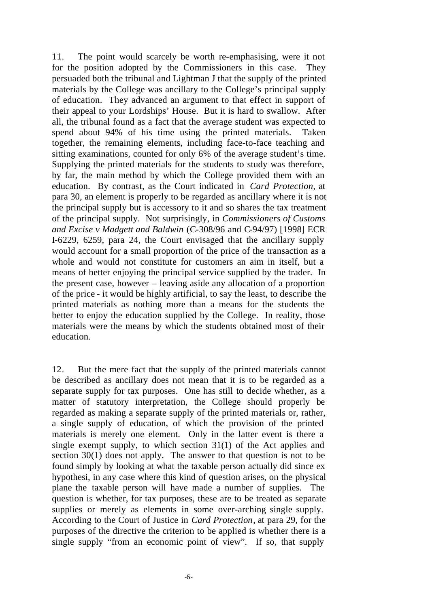11. The point would scarcely be worth re-emphasising, were it not for the position adopted by the Commissioners in this case. They persuaded both the tribunal and Lightman J that the supply of the printed materials by the College was ancillary to the College's principal supply of education. They advanced an argument to that effect in support of their appeal to your Lordships' House. But it is hard to swallow. After all, the tribunal found as a fact that the average student was expected to spend about 94% of his time using the printed materials. Taken together, the remaining elements, including face-to-face teaching and sitting examinations, counted for only 6% of the average student's time. Supplying the printed materials for the students to study was therefore, by far, the main method by which the College provided them with an education. By contrast, as the Court indicated in *Card Protection*, at para 30, an element is properly to be regarded as ancillary where it is not the principal supply but is accessory to it and so shares the tax treatment of the principal supply. Not surprisingly, in *Commissioners of Customs and Excise v Madgett and Baldwin* (C-308/96 and C-94/97) [1998] ECR I-6229, 6259, para 24, the Court envisaged that the ancillary supply would account for a small proportion of the price of the transaction as a whole and would not constitute for customers an aim in itself, but a means of better enjoying the principal service supplied by the trader. In the present case, however – leaving aside any allocation of a proportion of the price - it would be highly artificial, to say the least, to describe the printed materials as nothing more than a means for the students the better to enjoy the education supplied by the College. In reality, those materials were the means by which the students obtained most of their education.

12. But the mere fact that the supply of the printed materials cannot be described as ancillary does not mean that it is to be regarded as a separate supply for tax purposes. One has still to decide whether, as a matter of statutory interpretation, the College should properly be regarded as making a separate supply of the printed materials or, rather, a single supply of education, of which the provision of the printed materials is merely one element. Only in the latter event is there a single exempt supply, to which section 31(1) of the Act applies and section 30(1) does not apply. The answer to that question is not to be found simply by looking at what the taxable person actually did since ex hypothesi, in any case where this kind of question arises, on the physical plane the taxable person will have made a number of supplies. The question is whether, for tax purposes, these are to be treated as separate supplies or merely as elements in some over-arching single supply. According to the Court of Justice in *Card Protection*, at para 29, for the purposes of the directive the criterion to be applied is whether there is a single supply "from an economic point of view". If so, that supply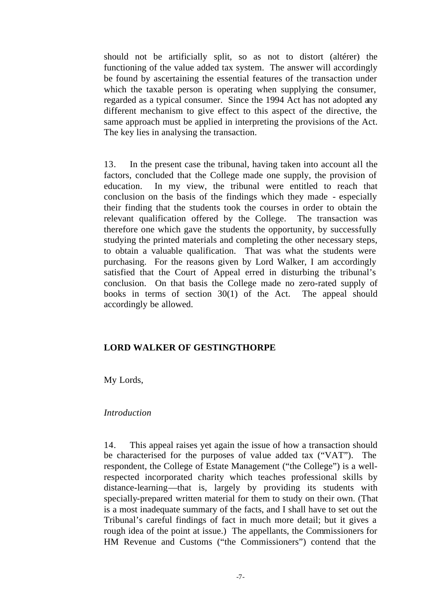should not be artificially split, so as not to distort (altérer) the functioning of the value added tax system. The answer will accordingly be found by ascertaining the essential features of the transaction under which the taxable person is operating when supplying the consumer, regarded as a typical consumer. Since the 1994 Act has not adopted any different mechanism to give effect to this aspect of the directive, the same approach must be applied in interpreting the provisions of the Act. The key lies in analysing the transaction.

13. In the present case the tribunal, having taken into account all the factors, concluded that the College made one supply, the provision of education. In my view, the tribunal were entitled to reach that conclusion on the basis of the findings which they made - especially their finding that the students took the courses in order to obtain the relevant qualification offered by the College. The transaction was therefore one which gave the students the opportunity, by successfully studying the printed materials and completing the other necessary steps, to obtain a valuable qualification. That was what the students were purchasing. For the reasons given by Lord Walker, I am accordingly satisfied that the Court of Appeal erred in disturbing the tribunal's conclusion. On that basis the College made no zero-rated supply of books in terms of section 30(1) of the Act. The appeal should accordingly be allowed.

## **LORD WALKER OF GESTINGTHORPE**

My Lords,

#### *Introduction*

14. This appeal raises yet again the issue of how a transaction should be characterised for the purposes of value added tax ("VAT"). The respondent, the College of Estate Management ("the College") is a wellrespected incorporated charity which teaches professional skills by distance-learning—that is, largely by providing its students with specially-prepared written material for them to study on their own. (That is a most inadequate summary of the facts, and I shall have to set out the Tribunal's careful findings of fact in much more detail; but it gives a rough idea of the point at issue.) The appellants, the Commissioners for HM Revenue and Customs ("the Commissioners") contend that the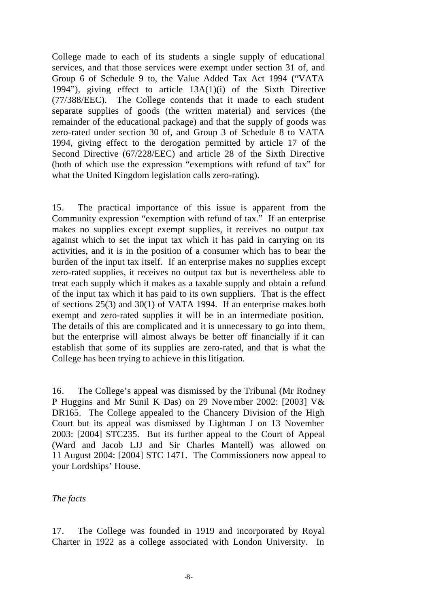College made to each of its students a single supply of educational services, and that those services were exempt under section 31 of, and Group 6 of Schedule 9 to, the Value Added Tax Act 1994 ("VATA 1994"), giving effect to article 13A(1)(i) of the Sixth Directive (77/388/EEC). The College contends that it made to each student separate supplies of goods (the written material) and services (the remainder of the educational package) and that the supply of goods was zero-rated under section 30 of, and Group 3 of Schedule 8 to VATA 1994, giving effect to the derogation permitted by article 17 of the Second Directive (67/228/EEC) and article 28 of the Sixth Directive (both of which use the expression "exemptions with refund of tax" for what the United Kingdom legislation calls zero-rating).

15. The practical importance of this issue is apparent from the Community expression "exemption with refund of tax." If an enterprise makes no supplies except exempt supplies, it receives no output tax against which to set the input tax which it has paid in carrying on its activities, and it is in the position of a consumer which has to bear the burden of the input tax itself. If an enterprise makes no supplies except zero-rated supplies, it receives no output tax but is nevertheless able to treat each supply which it makes as a taxable supply and obtain a refund of the input tax which it has paid to its own suppliers. That is the effect of sections 25(3) and 30(1) of VATA 1994. If an enterprise makes both exempt and zero-rated supplies it will be in an intermediate position. The details of this are complicated and it is unnecessary to go into them, but the enterprise will almost always be better off financially if it can establish that some of its supplies are zero-rated, and that is what the College has been trying to achieve in this litigation.

16. The College's appeal was dismissed by the Tribunal (Mr Rodney P Huggins and Mr Sunil K Das) on 29 Nove mber 2002: [2003] V& DR165. The College appealed to the Chancery Division of the High Court but its appeal was dismissed by Lightman J on 13 November 2003: [2004] STC235. But its further appeal to the Court of Appeal (Ward and Jacob LJJ and Sir Charles Mantell) was allowed on 11 August 2004: [2004] STC 1471. The Commissioners now appeal to your Lordships' House.

## *The facts*

17. The College was founded in 1919 and incorporated by Royal Charter in 1922 as a college associated with London University. In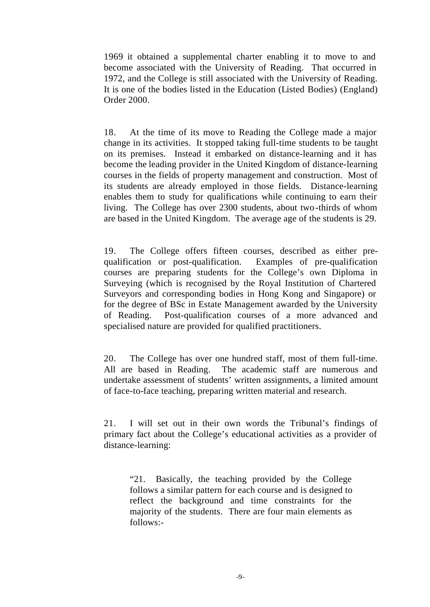1969 it obtained a supplemental charter enabling it to move to and become associated with the University of Reading. That occurred in 1972, and the College is still associated with the University of Reading. It is one of the bodies listed in the Education (Listed Bodies) (England) Order 2000.

18. At the time of its move to Reading the College made a major change in its activities. It stopped taking full-time students to be taught on its premises. Instead it embarked on distance-learning and it has become the leading provider in the United Kingdom of distance-learning courses in the fields of property management and construction. Most of its students are already employed in those fields. Distance-learning enables them to study for qualifications while continuing to earn their living. The College has over 2300 students, about two-thirds of whom are based in the United Kingdom. The average age of the students is 29.

19. The College offers fifteen courses, described as either prequalification or post-qualification. Examples of pre-qualification courses are preparing students for the College's own Diploma in Surveying (which is recognised by the Royal Institution of Chartered Surveyors and corresponding bodies in Hong Kong and Singapore) or for the degree of BSc in Estate Management awarded by the University of Reading. Post-qualification courses of a more advanced and specialised nature are provided for qualified practitioners.

20. The College has over one hundred staff, most of them full-time. All are based in Reading. The academic staff are numerous and undertake assessment of students' written assignments, a limited amount of face-to-face teaching, preparing written material and research.

21. I will set out in their own words the Tribunal's findings of primary fact about the College's educational activities as a provider of distance-learning:

"21. Basically, the teaching provided by the College follows a similar pattern for each course and is designed to reflect the background and time constraints for the majority of the students. There are four main elements as follows:-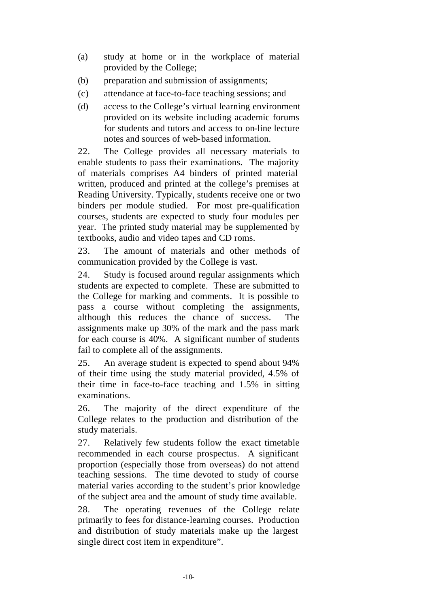- (a) study at home or in the workplace of material provided by the College;
- (b) preparation and submission of assignments;
- (c) attendance at face-to-face teaching sessions; and
- (d) access to the College's virtual learning environment provided on its website including academic forums for students and tutors and access to on-line lecture notes and sources of web-based information.

22. The College provides all necessary materials to enable students to pass their examinations. The majority of materials comprises A4 binders of printed material written, produced and printed at the college's premises at Reading University. Typically, students receive one or two binders per module studied. For most pre-qualification courses, students are expected to study four modules per year. The printed study material may be supplemented by textbooks, audio and video tapes and CD roms.

23. The amount of materials and other methods of communication provided by the College is vast.

24. Study is focused around regular assignments which students are expected to complete. These are submitted to the College for marking and comments. It is possible to pass a course without completing the assignments, although this reduces the chance of success. assignments make up 30% of the mark and the pass mark for each course is 40%. A significant number of students fail to complete all of the assignments.

25. An average student is expected to spend about 94% of their time using the study material provided, 4.5% of their time in face-to-face teaching and 1.5% in sitting examinations.

26. The majority of the direct expenditure of the College relates to the production and distribution of the study materials.

27. Relatively few students follow the exact timetable recommended in each course prospectus. A significant proportion (especially those from overseas) do not attend teaching sessions. The time devoted to study of course material varies according to the student's prior knowledge of the subject area and the amount of study time available.

28. The operating revenues of the College relate primarily to fees for distance-learning courses. Production and distribution of study materials make up the largest single direct cost item in expenditure".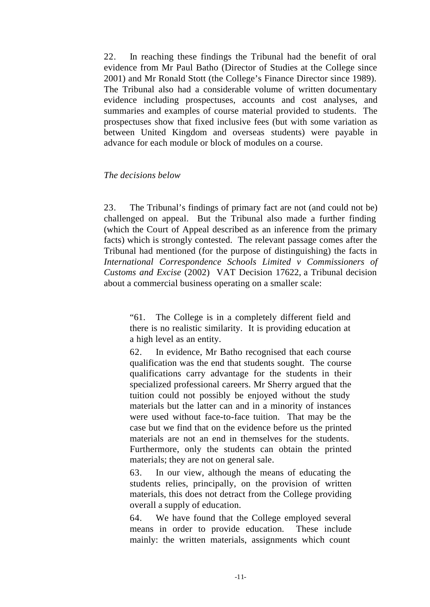22. In reaching these findings the Tribunal had the benefit of oral evidence from Mr Paul Batho (Director of Studies at the College since 2001) and Mr Ronald Stott (the College's Finance Director since 1989). The Tribunal also had a considerable volume of written documentary evidence including prospectuses, accounts and cost analyses, and summaries and examples of course material provided to students. The prospectuses show that fixed inclusive fees (but with some variation as between United Kingdom and overseas students) were payable in advance for each module or block of modules on a course.

#### *The decisions below*

23. The Tribunal's findings of primary fact are not (and could not be) challenged on appeal. But the Tribunal also made a further finding (which the Court of Appeal described as an inference from the primary facts) which is strongly contested. The relevant passage comes after the Tribunal had mentioned (for the purpose of distinguishing) the facts in *International Correspondence Schools Limited v Commissioners of Customs and Excise* (2002) VAT Decision 17622, a Tribunal decision about a commercial business operating on a smaller scale:

"61. The College is in a completely different field and there is no realistic similarity. It is providing education at a high level as an entity.

62. In evidence, Mr Batho recognised that each course qualification was the end that students sought. The course qualifications carry advantage for the students in their specialized professional careers. Mr Sherry argued that the tuition could not possibly be enjoyed without the study materials but the latter can and in a minority of instances were used without face-to-face tuition. That may be the case but we find that on the evidence before us the printed materials are not an end in themselves for the students. Furthermore, only the students can obtain the printed materials; they are not on general sale.

63. In our view, although the means of educating the students relies, principally, on the provision of written materials, this does not detract from the College providing overall a supply of education.

64. We have found that the College employed several means in order to provide education. These include mainly: the written materials, assignments which count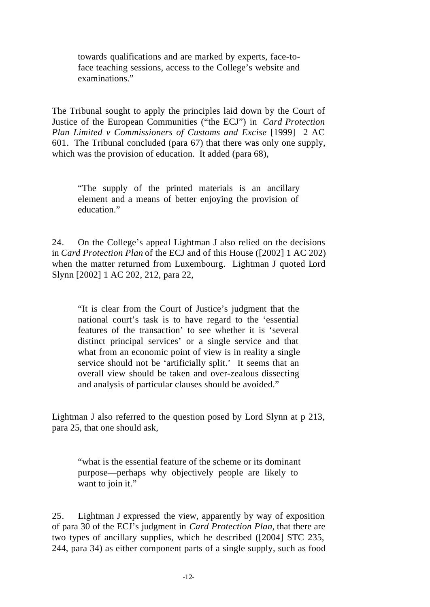towards qualifications and are marked by experts, face-toface teaching sessions, access to the College's website and examinations."

The Tribunal sought to apply the principles laid down by the Court of Justice of the European Communities ("the ECJ") in *Card Protection Plan Limited v Commissioners of Customs and Excise* [1999] 2 AC 601. The Tribunal concluded (para 67) that there was only one supply, which was the provision of education. It added (para 68),

"The supply of the printed materials is an ancillary element and a means of better enjoying the provision of education."

24. On the College's appeal Lightman J also relied on the decisions in *Card Protection Plan* of the ECJ and of this House ([2002] 1 AC 202) when the matter returned from Luxembourg. Lightman J quoted Lord Slynn [2002] 1 AC 202, 212, para 22,

"It is clear from the Court of Justice's judgment that the national court's task is to have regard to the 'essential features of the transaction' to see whether it is 'several distinct principal services' or a single service and that what from an economic point of view is in reality a single service should not be 'artificially split.' It seems that an overall view should be taken and over-zealous dissecting and analysis of particular clauses should be avoided."

Lightman J also referred to the question posed by Lord Slynn at p 213, para 25, that one should ask,

"what is the essential feature of the scheme or its dominant purpose—perhaps why objectively people are likely to want to join it."

25. Lightman J expressed the view, apparently by way of exposition of para 30 of the ECJ's judgment in *Card Protection Plan,* that there are two types of ancillary supplies, which he described ([2004] STC 235, 244, para 34) as either component parts of a single supply, such as food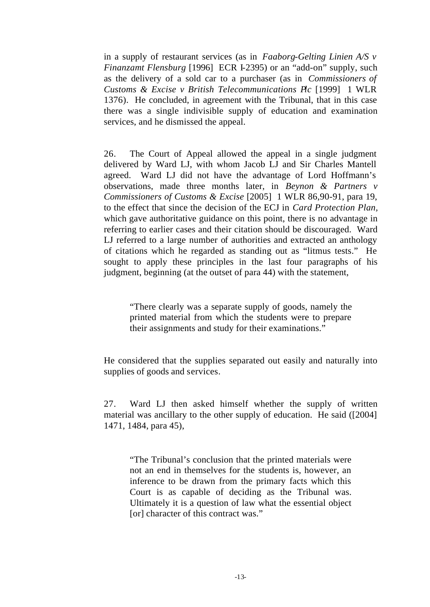in a supply of restaurant services (as in *Faaborg-Gelting Linien A/S v Finanzamt Flensburg* [1996] ECR I-2395) or an "add-on" supply, such as the delivery of a sold car to a purchaser (as in *Commissioners of Customs & Excise v British Telecommunications Plc* [1999] 1 WLR 1376). He concluded, in agreement with the Tribunal, that in this case there was a single indivisible supply of education and examination services, and he dismissed the appeal.

26. The Court of Appeal allowed the appeal in a single judgment delivered by Ward LJ, with whom Jacob LJ and Sir Charles Mantell agreed. Ward LJ did not have the advantage of Lord Hoffmann's observations, made three months later, in *Beynon & Partners v Commissioners of Customs & Excise* [2005] 1 WLR 86,90-91, para 19, to the effect that since the decision of the ECJ in *Card Protection Plan,* which gave authoritative guidance on this point, there is no advantage in referring to earlier cases and their citation should be discouraged. Ward LJ referred to a large number of authorities and extracted an anthology of citations which he regarded as standing out as "litmus tests." He sought to apply these principles in the last four paragraphs of his judgment, beginning (at the outset of para 44) with the statement,

"There clearly was a separate supply of goods, namely the printed material from which the students were to prepare their assignments and study for their examinations."

He considered that the supplies separated out easily and naturally into supplies of goods and services.

27. Ward LJ then asked himself whether the supply of written material was ancillary to the other supply of education. He said ([2004] 1471, 1484, para 45),

"The Tribunal's conclusion that the printed materials were not an end in themselves for the students is, however, an inference to be drawn from the primary facts which this Court is as capable of deciding as the Tribunal was. Ultimately it is a question of law what the essential object [or] character of this contract was."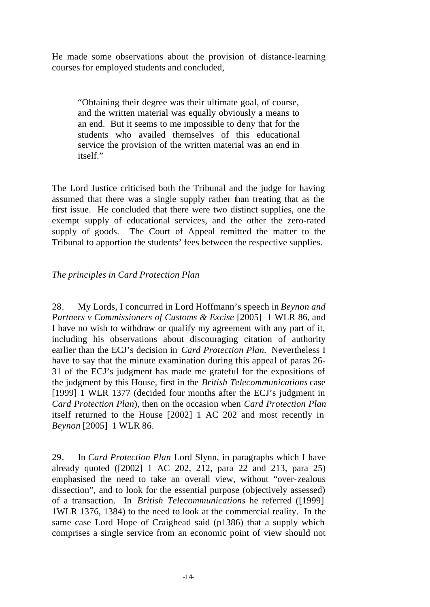He made some observations about the provision of distance-learning courses for employed students and concluded,

"Obtaining their degree was their ultimate goal, of course, and the written material was equally obviously a means to an end. But it seems to me impossible to deny that for the students who availed themselves of this educational service the provision of the written material was an end in itself."

The Lord Justice criticised both the Tribunal and the judge for having assumed that there was a single supply rather than treating that as the first issue. He concluded that there were two distinct supplies, one the exempt supply of educational services, and the other the zero-rated supply of goods. The Court of Appeal remitted the matter to the Tribunal to apportion the students' fees between the respective supplies.

# *The principles in Card Protection Plan*

28. My Lords, I concurred in Lord Hoffmann's speech in *Beynon and Partners v Commissioners of Customs & Excise* [2005] 1 WLR 86, and I have no wish to withdraw or qualify my agreement with any part of it, including his observations about discouraging citation of authority earlier than the ECJ's decision in *Card Protection Plan.* Nevertheless I have to say that the minute examination during this appeal of paras 26- 31 of the ECJ's judgment has made me grateful for the expositions of the judgment by this House, first in the *British Telecommunications* case [1999] 1 WLR 1377 (decided four months after the ECJ's judgment in *Card Protection Plan*), then on the occasion when *Card Protection Plan* itself returned to the House [2002] 1 AC 202 and most recently in *Beynon* [2005] 1 WLR 86.

29. In *Card Protection Plan* Lord Slynn, in paragraphs which I have already quoted ([2002] 1 AC 202, 212, para 22 and 213, para 25) emphasised the need to take an overall view, without "over-zealous dissection", and to look for the essential purpose (objectively assessed) of a transaction. In *British Telecommunications* he referred ([1999] 1WLR 1376, 1384) to the need to look at the commercial reality. In the same case Lord Hope of Craighead said (p1386) that a supply which comprises a single service from an economic point of view should not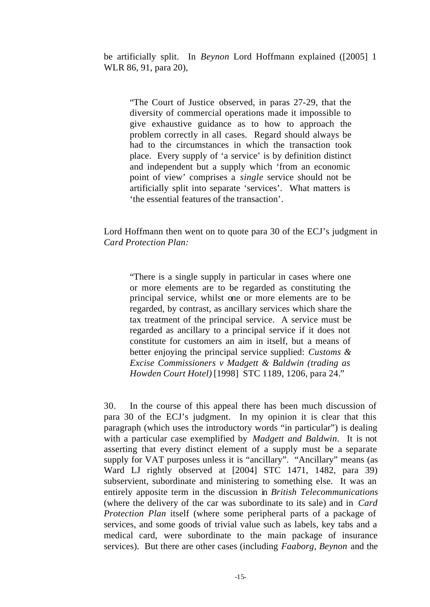be artificially split. In *Beynon* Lord Hoffmann explained ([2005] 1 WLR 86, 91, para 20),

"The Court of Justice observed, in paras 27-29, that the diversity of commercial operations made it impossible to give exhaustive guidance as to how to approach the problem correctly in all cases. Regard should always be had to the circumstances in which the transaction took place. Every supply of 'a service' is by definition distinct and independent but a supply which 'from an economic point of view' comprises a *single* service should not be artificially split into separate 'services'. What matters is 'the essential features of the transaction'.

Lord Hoffmann then went on to quote para 30 of the ECJ's judgment in *Card Protection Plan:*

"There is a single supply in particular in cases where one or more elements are to be regarded as constituting the principal service, whilst one or more elements are to be regarded, by contrast, as ancillary services which share the tax treatment of the principal service. A service must be regarded as ancillary to a principal service if it does not constitute for customers an aim in itself, but a means of better enjoying the principal service supplied: *Customs & Excise Commissioners v Madgett & Baldwin (trading as Howden Court Hotel)* [1998] STC 1189, 1206, para 24."

30. In the course of this appeal there has been much discussion of para 30 of the ECJ's judgment. In my opinion it is clear that this paragraph (which uses the introductory words "in particular") is dealing with a particular case exemplified by *Madgett and Baldwin*. It is not asserting that every distinct element of a supply must be a separate supply for VAT purposes unless it is "ancillary". "Ancillary" means (as Ward LJ rightly observed at [2004] STC 1471, 1482, para 39) subservient, subordinate and ministering to something else. It was an entirely apposite term in the discussion in *British Telecommunications* (where the delivery of the car was subordinate to its sale) and in *Card Protection Plan* itself (where some peripheral parts of a package of services, and some goods of trivial value such as labels, key tabs and a medical card, were subordinate to the main package of insurance services). But there are other cases (including *Faaborg, Beynon* and the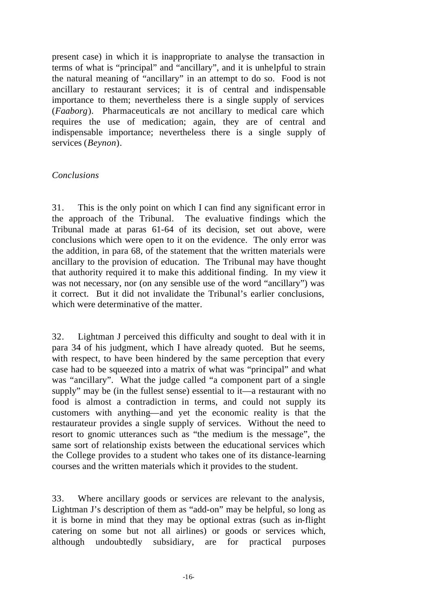present case) in which it is inappropriate to analyse the transaction in terms of what is "principal" and "ancillary", and it is unhelpful to strain the natural meaning of "ancillary" in an attempt to do so. Food is not ancillary to restaurant services; it is of central and indispensable importance to them; nevertheless there is a single supply of services (*Faaborg*). Pharmaceuticals are not ancillary to medical care which requires the use of medication; again, they are of central and indispensable importance; nevertheless there is a single supply of services (*Beynon*).

# *Conclusions*

31. This is the only point on which I can find any significant error in the approach of the Tribunal. The evaluative findings which the Tribunal made at paras 61-64 of its decision, set out above, were conclusions which were open to it on the evidence. The only error was the addition, in para 68, of the statement that the written materials were ancillary to the provision of education. The Tribunal may have thought that authority required it to make this additional finding. In my view it was not necessary, nor (on any sensible use of the word "ancillary") was it correct. But it did not invalidate the Tribunal's earlier conclusions, which were determinative of the matter.

32. Lightman J perceived this difficulty and sought to deal with it in para 34 of his judgment, which I have already quoted. But he seems, with respect, to have been hindered by the same perception that every case had to be squeezed into a matrix of what was "principal" and what was "ancillary". What the judge called "a component part of a single supply" may be (in the fullest sense) essential to it—a restaurant with no food is almost a contradiction in terms, and could not supply its customers with anything—and yet the economic reality is that the restaurateur provides a single supply of services. Without the need to resort to gnomic utterances such as "the medium is the message", the same sort of relationship exists between the educational services which the College provides to a student who takes one of its distance-learning courses and the written materials which it provides to the student.

33. Where ancillary goods or services are relevant to the analysis, Lightman J's description of them as "add-on" may be helpful, so long as it is borne in mind that they may be optional extras (such as in-flight catering on some but not all airlines) or goods or services which, although undoubtedly subsidiary, are for practical purposes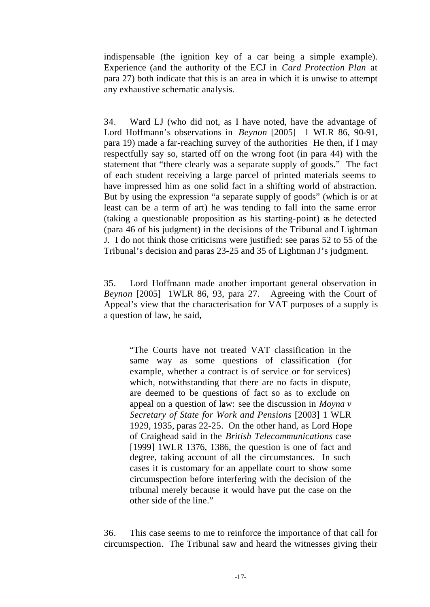indispensable (the ignition key of a car being a simple example). Experience (and the authority of the ECJ in *Card Protection Plan* at para 27) both indicate that this is an area in which it is unwise to attempt any exhaustive schematic analysis.

34. Ward LJ (who did not, as I have noted, have the advantage of Lord Hoffmann's observations in *Beynon* [2005] 1 WLR 86, 90-91, para 19) made a far-reaching survey of the authorities He then, if I may respectfully say so, started off on the wrong foot (in para 44) with the statement that "there clearly was a separate supply of goods." The fact of each student receiving a large parcel of printed materials seems to have impressed him as one solid fact in a shifting world of abstraction. But by using the expression "a separate supply of goods" (which is or at least can be a term of art) he was tending to fall into the same error (taking a questionable proposition as his starting-point) as he detected (para 46 of his judgment) in the decisions of the Tribunal and Lightman J. I do not think those criticisms were justified: see paras 52 to 55 of the Tribunal's decision and paras 23-25 and 35 of Lightman J's judgment.

35. Lord Hoffmann made another important general observation in *Beynon* [2005] 1WLR 86, 93, para 27. Agreeing with the Court of Appeal's view that the characterisation for VAT purposes of a supply is a question of law, he said,

"The Courts have not treated VAT classification in the same way as some questions of classification (for example, whether a contract is of service or for services) which, notwithstanding that there are no facts in dispute, are deemed to be questions of fact so as to exclude on appeal on a question of law: see the discussion in *Moyna v Secretary of State for Work and Pensions* [2003] 1 WLR 1929, 1935, paras 22-25. On the other hand, as Lord Hope of Craighead said in the *British Telecommunications* case [1999] 1WLR 1376, 1386, the question is one of fact and degree, taking account of all the circumstances. In such cases it is customary for an appellate court to show some circumspection before interfering with the decision of the tribunal merely because it would have put the case on the other side of the line."

36. This case seems to me to reinforce the importance of that call for circumspection. The Tribunal saw and heard the witnesses giving their